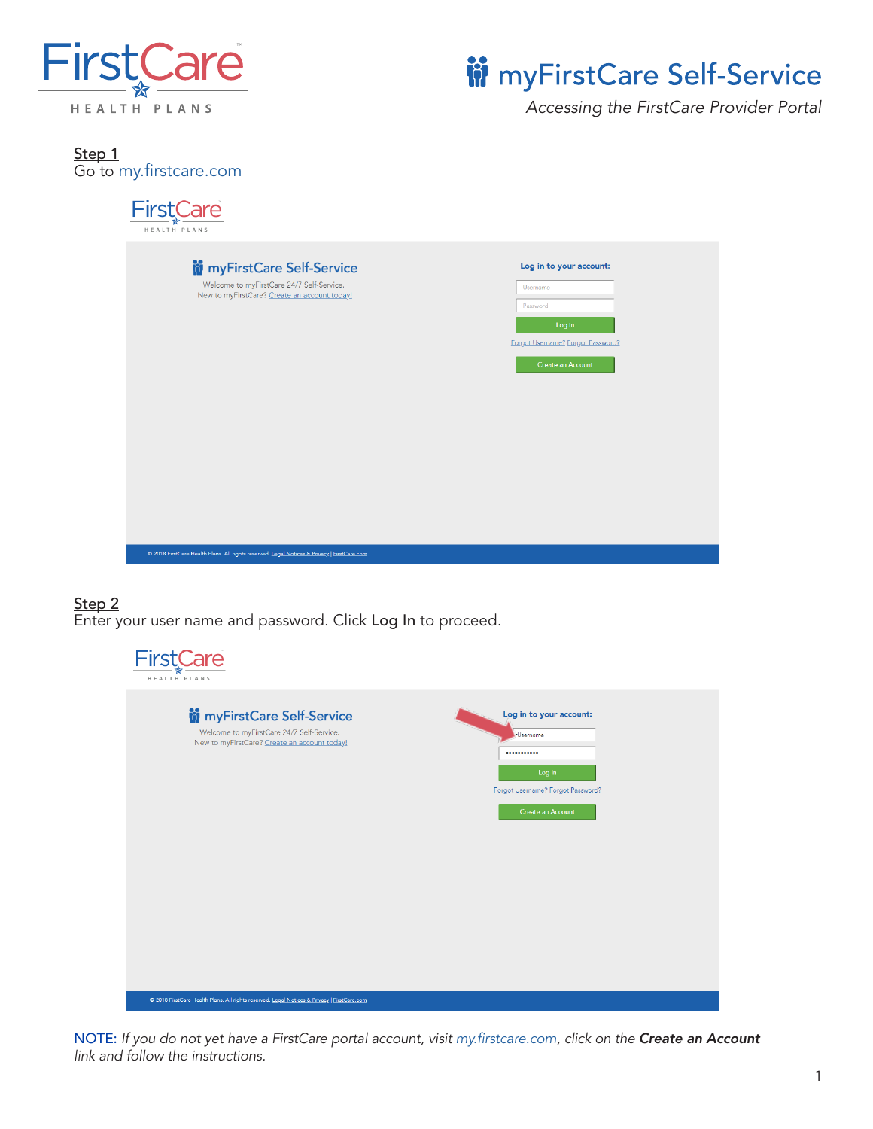

# **W** myFirstCare Self-Service

*Accessing the FirstCare Provider Portal*

<u>Step 1</u> Go to <u>my.firstcare.com</u>



### Step 2 Enter your user name and password. Click Log In to proceed.

| <b>FirstCare</b><br>HEALTH PLANS                                                                                                |                                                                                                                       |
|---------------------------------------------------------------------------------------------------------------------------------|-----------------------------------------------------------------------------------------------------------------------|
| <b>in</b> myFirstCare Self-Service<br>Welcome to myFirstCare 24/7 Self-Service.<br>New to myFirstCare? Create an account today! | Log in to your account:<br><b>I</b> -Username<br><br>Log in<br>Forgot Username? Forgot Password?<br>Create an Account |
| C 2018 FirstCare Health Plans. All rights reserved. Legal Notices & Privacy   FirstCare.com                                     |                                                                                                                       |

NOTE: *If you do not yet have a FirstCare portal account, visit my.firstcare.com, click on the Create an Account link and follow the instructions.*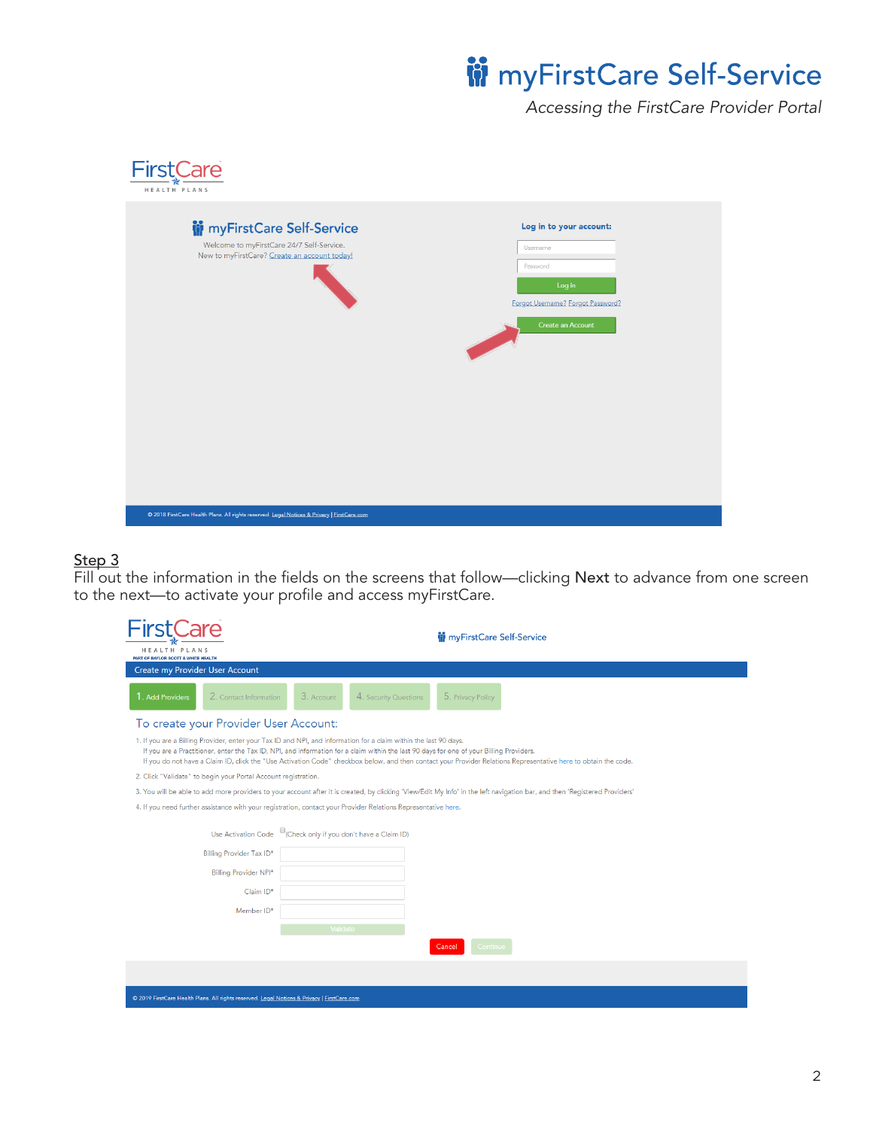# **iii** myFirstCare Self-Service

*Accessing the FirstCare Provider Portal*

| <b>FirstCare</b><br>HEALTH PLANS                                                                                                |                                                                                                                     |
|---------------------------------------------------------------------------------------------------------------------------------|---------------------------------------------------------------------------------------------------------------------|
| <b>in</b> myFirstCare Self-Service<br>Welcome to myFirstCare 24/7 Self-Service.<br>New to myFirstCare? Create an account today! | Log in to your account:<br>Username<br>Password<br>Log in<br>Forgot Username? Forgot Password?<br>Create an Account |
| C 2018 FirstCare Health Plans. All rights reserved. Legal Notices & Privacy   FirstCare.com                                     |                                                                                                                     |

### <u>Step 3</u>

Fill out the information in the fields on the screens that follow—clicking Next to advance from one screen to the next—to activate your profile and access myFirstCare.

|                                                                                                                                                                                                                                                                                                                                                                                                                                  | <b>M</b> myFirstCare Self-Service                                                                                                                                          |
|----------------------------------------------------------------------------------------------------------------------------------------------------------------------------------------------------------------------------------------------------------------------------------------------------------------------------------------------------------------------------------------------------------------------------------|----------------------------------------------------------------------------------------------------------------------------------------------------------------------------|
| HEALTH PLANS<br>PART OF BAYLOR SCOTT & WHITE HEALTH                                                                                                                                                                                                                                                                                                                                                                              |                                                                                                                                                                            |
| Create my Provider User Account                                                                                                                                                                                                                                                                                                                                                                                                  |                                                                                                                                                                            |
| 1. Add Providers<br>2. Contact Information                                                                                                                                                                                                                                                                                                                                                                                       | 5. Privacy Policy<br>3. Account<br>4. Security Questions                                                                                                                   |
| To create your Provider User Account:                                                                                                                                                                                                                                                                                                                                                                                            |                                                                                                                                                                            |
| 1. If you are a Billing Provider, enter your Tax ID and NPI, and information for a claim within the last 90 days.<br>If you are a Practitioner, enter the Tax ID, NPI, and information for a claim within the last 90 days for one of your Billing Providers.<br>If you do not have a Claim ID, click the "Use Activation Code" checkbox below, and then contact your Provider Relations Representative here to obtain the code. |                                                                                                                                                                            |
| 2. Click "Validate" to begin your Portal Account registration.                                                                                                                                                                                                                                                                                                                                                                   |                                                                                                                                                                            |
|                                                                                                                                                                                                                                                                                                                                                                                                                                  | 3. You will be able to add more providers to your account after it is created, by clicking 'View/Edit My Info' in the left navigation bar, and then 'Registered Providers' |
|                                                                                                                                                                                                                                                                                                                                                                                                                                  | 4. If you need further assistance with your registration, contact your Provider Relations Representative here.                                                             |
|                                                                                                                                                                                                                                                                                                                                                                                                                                  | Use Activation Code Check only if you don't have a Claim ID)                                                                                                               |
| Billing Provider Tax ID*                                                                                                                                                                                                                                                                                                                                                                                                         |                                                                                                                                                                            |
| Billing Provider NPI*                                                                                                                                                                                                                                                                                                                                                                                                            |                                                                                                                                                                            |
| Claim ID*                                                                                                                                                                                                                                                                                                                                                                                                                        |                                                                                                                                                                            |
| Member ID*                                                                                                                                                                                                                                                                                                                                                                                                                       |                                                                                                                                                                            |
|                                                                                                                                                                                                                                                                                                                                                                                                                                  | Validate                                                                                                                                                                   |
|                                                                                                                                                                                                                                                                                                                                                                                                                                  | Continue<br>Cancel                                                                                                                                                         |
|                                                                                                                                                                                                                                                                                                                                                                                                                                  |                                                                                                                                                                            |
| C 2019 FirstCare Health Plans. All rights reserved. Legal Notices & Privacy   FirstCare.com                                                                                                                                                                                                                                                                                                                                      |                                                                                                                                                                            |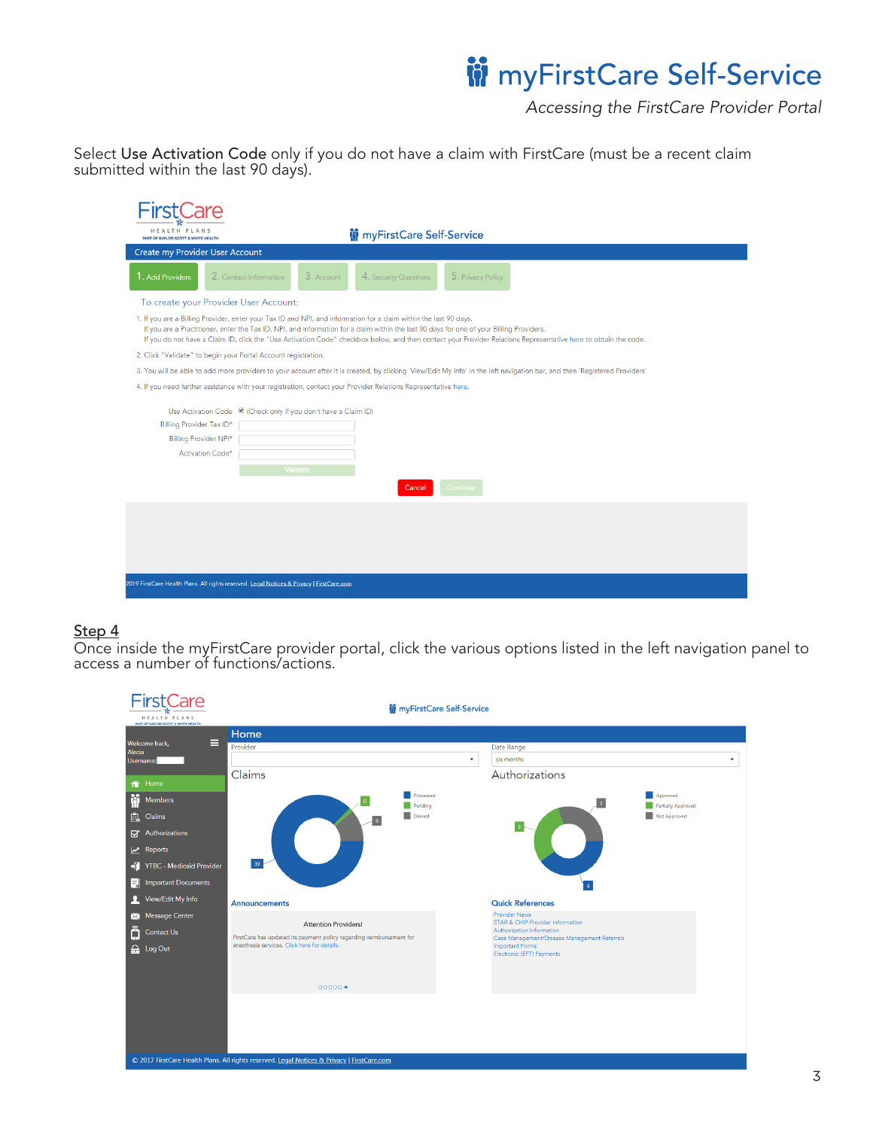## **W** myFirstCare Self-Service

*Accessing the FirstCare Provider Portal*

Select Use Activation Code only if you do not have a claim with FirstCare (must be a recent claim submitted within the last 90 days).

| <b>HEALTH PLANS</b><br>PART OF BAYLOR SCOTT & WHITE HEALTH     | <b>in</b> myFirstCare Self-Service                                                                                                                                                                                                                                                                                                                                                                                               |
|----------------------------------------------------------------|----------------------------------------------------------------------------------------------------------------------------------------------------------------------------------------------------------------------------------------------------------------------------------------------------------------------------------------------------------------------------------------------------------------------------------|
| Create my Provider User Account                                |                                                                                                                                                                                                                                                                                                                                                                                                                                  |
| 1. Add Providers                                               | 3. Account<br>5. Privacy Policy<br>2. Contact Information<br>4. Security Questions                                                                                                                                                                                                                                                                                                                                               |
| To create your Provider User Account:                          |                                                                                                                                                                                                                                                                                                                                                                                                                                  |
|                                                                | 1. If you are a Billing Provider, enter your Tax ID and NPI, and information for a claim within the last 90 days.<br>If you are a Practitioner, enter the Tax ID, NPI, and information for a claim within the last 90 days for one of your Billing Providers.<br>If you do not have a Claim ID, click the "Use Activation Code" checkbox below, and then contact your Provider Relations Representative here to obtain the code. |
| 2. Click "Validate" to begin your Portal Account registration. |                                                                                                                                                                                                                                                                                                                                                                                                                                  |
|                                                                | 3. You will be able to add more providers to your account after it is created, by clicking 'View/Edit My Info' in the left navigation bar, and then 'Registered Providers'                                                                                                                                                                                                                                                       |
|                                                                | 4. If you need further assistance with your registration, contact your Provider Relations Representative here.                                                                                                                                                                                                                                                                                                                   |
| Billing Provider Tax ID*<br>Billing Provider NPI*              | Use Activation Code 2 (Check only if you don't have a Claim ID)                                                                                                                                                                                                                                                                                                                                                                  |
| Activation Code*                                               |                                                                                                                                                                                                                                                                                                                                                                                                                                  |
|                                                                | Validate                                                                                                                                                                                                                                                                                                                                                                                                                         |
|                                                                | Cancel<br>Continue                                                                                                                                                                                                                                                                                                                                                                                                               |
|                                                                |                                                                                                                                                                                                                                                                                                                                                                                                                                  |
|                                                                |                                                                                                                                                                                                                                                                                                                                                                                                                                  |
|                                                                |                                                                                                                                                                                                                                                                                                                                                                                                                                  |
|                                                                |                                                                                                                                                                                                                                                                                                                                                                                                                                  |
|                                                                | 2019 FirstCare Health Plans. All rights reserved. Legal Notices & Privacy   FirstCare.com                                                                                                                                                                                                                                                                                                                                        |

#### <u>Step 4</u>

Once inside the myFirstCare provider portal, click the various options listed in the left navigation panel to access a number of functions/actions.

|                                          | Care<br>HEALTH PLANS<br>PART OF BAYLOR SCOTT & WHITE HEALTH                                                                                        | <b>in</b> myFirstCare Self-Service                                                                                                                                     |                                                                                                                                                                                              |  |
|------------------------------------------|----------------------------------------------------------------------------------------------------------------------------------------------------|------------------------------------------------------------------------------------------------------------------------------------------------------------------------|----------------------------------------------------------------------------------------------------------------------------------------------------------------------------------------------|--|
|                                          |                                                                                                                                                    | Home                                                                                                                                                                   |                                                                                                                                                                                              |  |
| Alecia                                   | Ξ<br>Welcome back,                                                                                                                                 | Provider                                                                                                                                                               | Date Range                                                                                                                                                                                   |  |
|                                          | Username:                                                                                                                                          |                                                                                                                                                                        | six months<br>٠                                                                                                                                                                              |  |
|                                          |                                                                                                                                                    | Claims                                                                                                                                                                 | Authorizations                                                                                                                                                                               |  |
| 8<br>畠<br>$\boxtimes$<br>$\cdot$ T<br>۵J | 合 Home<br>Members<br>Claims<br>Authorizations<br>$x$ Reports<br><b>YTBC</b> - Medicaid Provider<br><b>Important Documents</b><br>View/Edit My Info | Processed<br>Pending<br>Denied<br>39 <sup>°</sup><br>Announcements                                                                                                     | Approved<br>3<br>Partially Approved<br>Not Approved<br>$\overline{\bf 4}^-$<br><b>Quick References</b>                                                                                       |  |
| ⋈<br>Ô                                   | <b>Message Center</b><br>Contact Us<br>$\frac{1}{2}$ Log Out                                                                                       | <b>Attention Providers!</b><br>FirstCare has updated its payment policy regarding reimbursement for<br>anesthesia services. Click here for details.<br>$00000 \bullet$ | <b>Provider News</b><br>STAR & CHIP Provider Information<br>Authorization Information<br>Case Management/Disease Management Referrals<br><b>Important Forms</b><br>Electronic (EFT) Payments |  |
|                                          |                                                                                                                                                    | © 2017 FirstCare Health Plans. All rights reserved. Legal Notices & Privacy   FirstCare.com                                                                            |                                                                                                                                                                                              |  |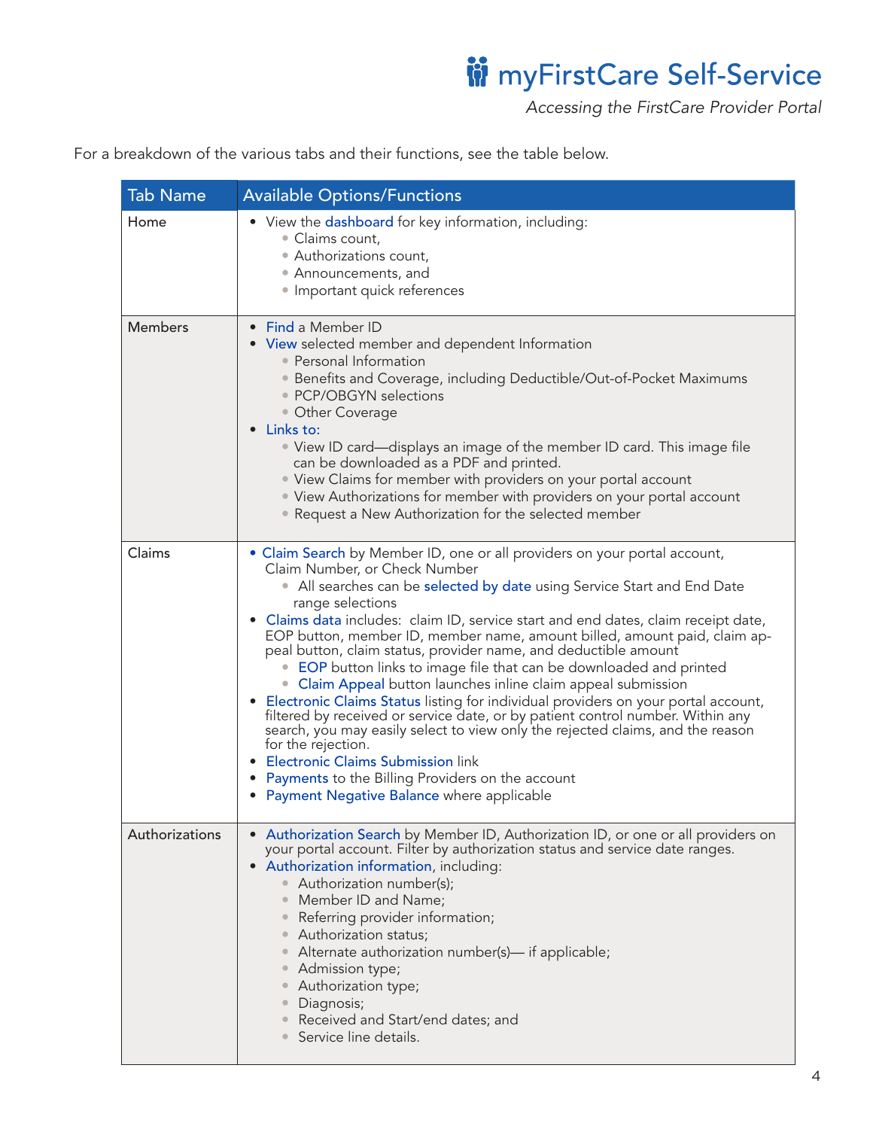ii myFirstCare Self-Service

*Accessing the FirstCare Provider Portal*

For a breakdown of the various tabs and their functions, see the table below.

| <b>Tab Name</b> | <b>Available Options/Functions</b>                                                                                                                                                                                                                                                                                                                                                                                                                                                                                                                                                                                                                                                                                                                                                                                                                                                                                                                                                                                         |
|-----------------|----------------------------------------------------------------------------------------------------------------------------------------------------------------------------------------------------------------------------------------------------------------------------------------------------------------------------------------------------------------------------------------------------------------------------------------------------------------------------------------------------------------------------------------------------------------------------------------------------------------------------------------------------------------------------------------------------------------------------------------------------------------------------------------------------------------------------------------------------------------------------------------------------------------------------------------------------------------------------------------------------------------------------|
| Home            | • View the dashboard for key information, including:<br>• Claims count,<br>• Authorizations count,<br>• Announcements, and<br>· Important quick references                                                                                                                                                                                                                                                                                                                                                                                                                                                                                                                                                                                                                                                                                                                                                                                                                                                                 |
| <b>Members</b>  | • Find a Member ID<br>• View selected member and dependent Information<br>• Personal Information<br>• Benefits and Coverage, including Deductible/Out-of-Pocket Maximums<br>• PCP/OBGYN selections<br>• Other Coverage<br>Links to:<br>• View ID card—displays an image of the member ID card. This image file<br>can be downloaded as a PDF and printed.<br>• View Claims for member with providers on your portal account<br>• View Authorizations for member with providers on your portal account<br>• Request a New Authorization for the selected member                                                                                                                                                                                                                                                                                                                                                                                                                                                             |
| Claims          | • Claim Search by Member ID, one or all providers on your portal account,<br>Claim Number, or Check Number<br>• All searches can be selected by date using Service Start and End Date<br>range selections<br>Claims data includes: claim ID, service start and end dates, claim receipt date,<br>EOP button, member ID, member name, amount billed, amount paid, claim ap-<br>peal button, claim status, provider name, and deductible amount<br>• EOP button links to image file that can be downloaded and printed<br>• Claim Appeal button launches inline claim appeal submission<br>• Electronic Claims Status listing for individual providers on your portal account,<br>filtered by received or service date, or by patient control number. Within any<br>search, you may easily select to view only the rejected claims, and the reason<br>for the rejection.<br><b>Electronic Claims Submission link</b><br><b>Payments to the Billing Providers on the account</b><br>Payment Negative Balance where applicable |
| Authorizations  | • Authorization Search by Member ID, Authorization ID, or one or all providers on<br>your portal account. Filter by authorization status and service date ranges.<br>Authorization information, including:<br>$\bullet$<br>• Authorization number(s);<br>Member ID and Name;<br>Referring provider information;<br>Authorization status;<br>Alternate authorization number(s)— if applicable;<br>Admission type;<br>Authorization type;<br>Diagnosis;<br>Received and Start/end dates; and<br>Service line details.                                                                                                                                                                                                                                                                                                                                                                                                                                                                                                        |

 $\overline{\phantom{0}}$